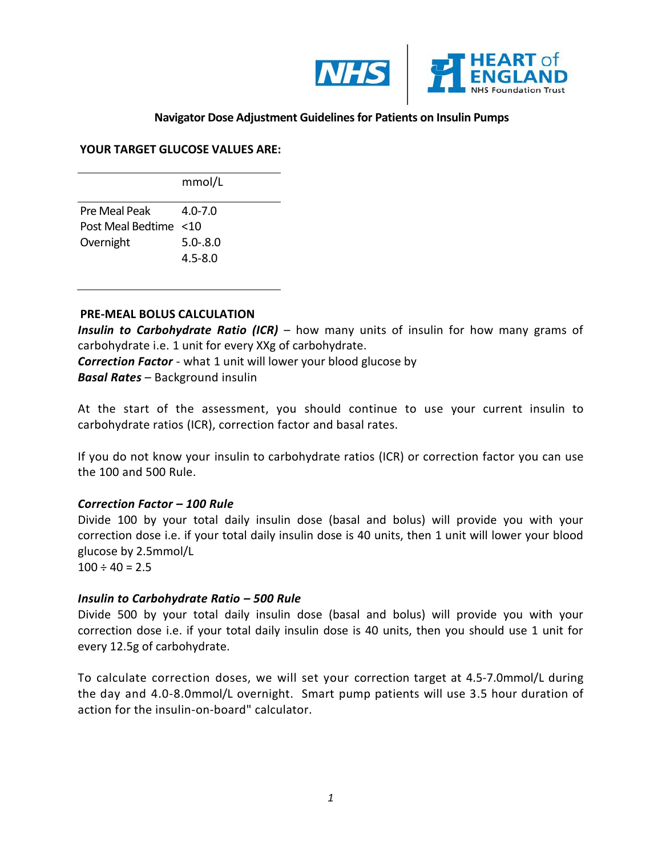

# **Navigator Dose Adjustment Guidelinesfor Patients on Insulin Pumps**

#### **YOUR TARGET GLUCOSE VALUES ARE:**

mmol/L Pre Meal Peak Post Meal Bedtime <10 Overnight 4.0-7.0 5.0-.8.0 4.5-8.0

#### **PRE-MEAL BOLUS CALCULATION**

*Insulin to Carbohydrate Ratio (ICR)* – how many units of insulin for how many grams of carbohydrate i.e. 1 unit for every XXg of carbohydrate.

*Correction Factor* - what 1 unit will lower your blood glucose by *Basal Rates* – Background insulin

At the start of the assessment, you should continue to use your current insulin to carbohydrate ratios (ICR), correction factor and basal rates.

If you do not know your insulin to carbohydrate ratios (ICR) or correction factor you can use the 100 and 500 Rule.

## *Correction Factor – 100 Rule*

Divide 100 by your total daily insulin dose (basal and bolus) will provide you with your correction dose i.e. if your total daily insulin dose is 40 units, then 1 unit will lower your blood glucose by 2.5mmol/L

 $100 \div 40 = 2.5$ 

## *Insulin to Carbohydrate Ratio – 500 Rule*

Divide 500 by your total daily insulin dose (basal and bolus) will provide you with your correction dose i.e. if your total daily insulin dose is 40 units, then you should use 1 unit for every 12.5g of carbohydrate.

To calculate correction doses, we will set your correction target at 4.5-7.0mmol/L during the day and 4.0-8.0mmol/L overnight. Smart pump patients will use 3.5 hour duration of action for the insulin-on-board" calculator.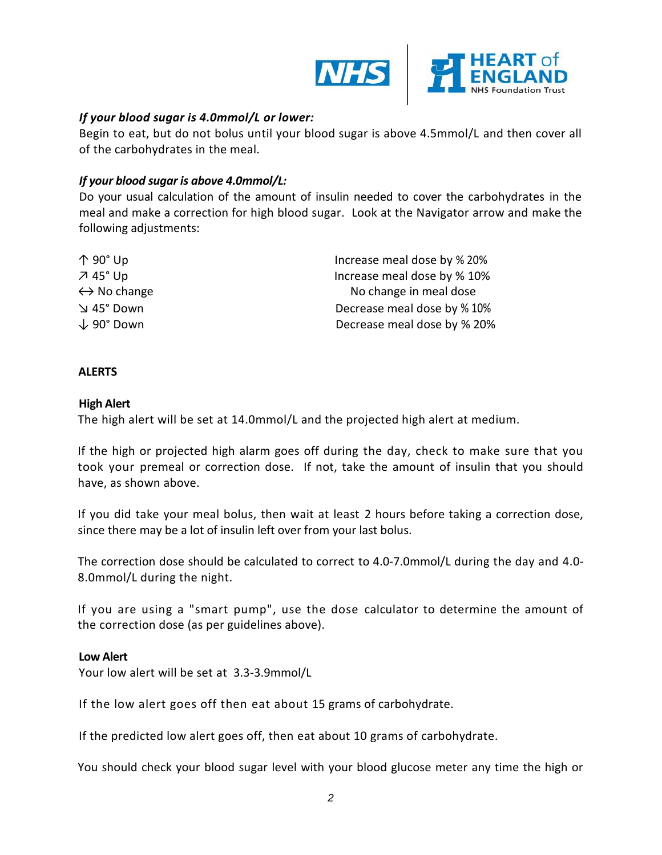

# *If your blood sugar is 4.0mmol/L or lower:*

Begin to eat, but do not bolus until your blood sugar is above 4.5mmol/L and then cover all of the carbohydrates in the meal.

## *If your blood sugar is above 4.0mmol/L:*

Do your usual calculation of the amount of insulin needed to cover the carbohydrates in the meal and make a correction for high blood sugar. Look at the Navigator arrow and make the following adjustments:

| $\uparrow$ 90 $^{\circ}$ Up | Increase meal dose by % 20% |
|-----------------------------|-----------------------------|
| $745^\circ$ Up              | Increase meal dose by % 10% |
| $\leftrightarrow$ No change | No change in meal dose      |
| Down וא 45°                 | Decrease meal dose by % 10% |
| $\downarrow$ 90° Down       | Decrease meal dose by % 20% |

#### **ALERTS**

#### **High Alert**

The high alert will be set at 14.0mmol/L and the projected high alert at medium.

If the high or projected high alarm goes off during the day, check to make sure that you took your premeal or correction dose. If not, take the amount of insulin that you should have, as shown above.

If you did take your meal bolus, then wait at least 2 hours before taking a correction dose, since there may be a lot of insulin left over from your last bolus.

The correction dose should be calculated to correct to 4.0-7.0mmol/L during the day and 4.0- 8.0mmol/L during the night.

If you are using a "smart pump", use the dose calculator to determine the amount of the correction dose (as per guidelines above).

## **Low Alert**

Your low alert will be set at 3.3-3.9mmol/L

If the low alert goes off then eat about 15 grams of carbohydrate.

If the predicted low alert goes off, then eat about 10 grams of carbohydrate.

You should check your blood sugar level with your blood glucose meter any time the high or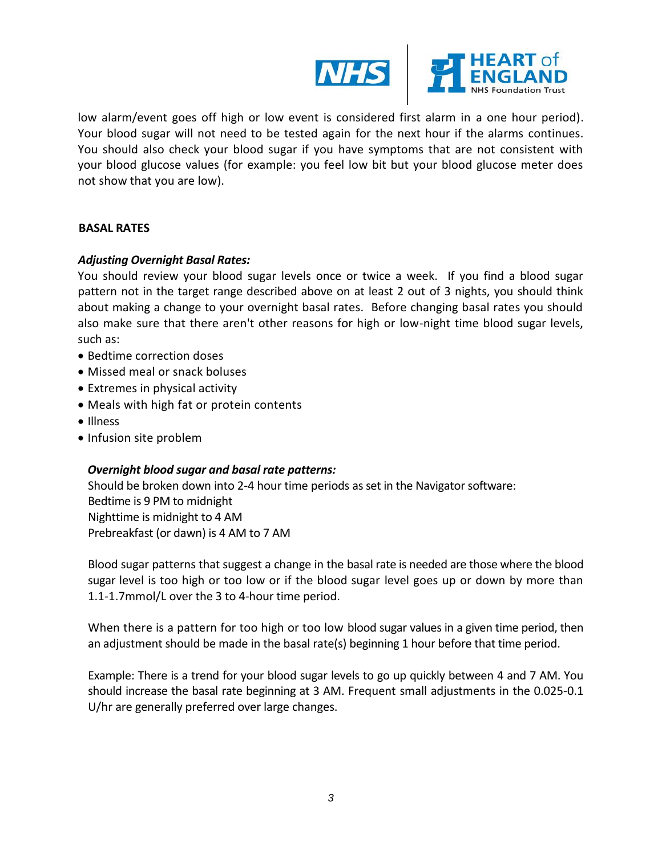

low alarm/event goes off high or low event is considered first alarm in a one hour period). Your blood sugar will not need to be tested again for the next hour if the alarms continues. You should also check your blood sugar if you have symptoms that are not consistent with your blood glucose values (for example: you feel low bit but your blood glucose meter does not show that you are low).

## **BASAL RATES**

# *Adjusting Overnight Basal Rates:*

You should review your blood sugar levels once or twice a week. If you find a blood sugar pattern not in the target range described above on at least 2 out of 3 nights, you should think about making a change to your overnight basal rates. Before changing basal rates you should also make sure that there aren't other reasons for high or low-night time blood sugar levels, such as:

- Bedtime correction doses
- Missed meal or snack boluses
- Extremes in physical activity
- Meals with high fat or protein contents
- Illness
- Infusion site problem

## *Overnight blood sugar and basal rate patterns:*

Should be broken down into 2-4 hour time periods as set in the Navigator software: Bedtime is 9 PM to midnight Nighttime is midnight to 4 AM Prebreakfast (or dawn) is 4 AM to 7 AM

Blood sugar patterns that suggest a change in the basal rate is needed are those where the blood sugar level is too high or too low or if the blood sugar level goes up or down by more than 1.1-1.7mmol/L over the 3 to 4-hour time period.

When there is a pattern for too high or too low blood sugar values in a given time period, then an adjustment should be made in the basal rate(s) beginning 1 hour before that time period.

Example: There is a trend for your blood sugar levels to go up quickly between 4 and 7 AM. You should increase the basal rate beginning at 3 AM. Frequent small adjustments in the 0.025-0.1 U/hr are generally preferred over large changes.